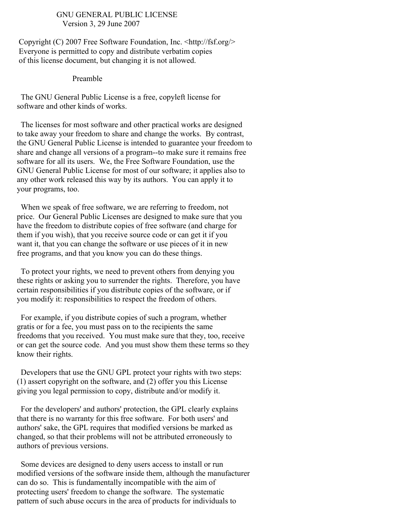#### GNU GENERAL PUBLIC LICENSE Version 3, 29 June 2007

Copyright (C) 2007 Free Software Foundation, Inc. <http://fsf.org/> Everyone is permitted to copy and distribute verbatim copies of this license document, but changing it is not allowed.

#### Preamble

The GNU General Public License is a free, copyleft license for software and other kinds of works.

The licenses for most software and other practical works are designed to take away your freedom to share and change the works. By contrast, the GNU General Public License is intended to guarantee your freedom to share and change all versions of a program--to make sure it remains free software for all its users. We, the Free Software Foundation, use the GNU General Public License for most of our software; it applies also to any other work released this way by its authors. You can apply it to your programs, too.

When we speak of free software, we are referring to freedom, not price. Our General Public Licenses are designed to make sure that you have the freedom to distribute copies of free software (and charge for them if you wish), that you receive source code or can get it if you want it, that you can change the software or use pieces of it in new free programs, and that you know you can do these things.

To protect your rights, we need to prevent others from denying you these rights or asking you to surrender the rights. Therefore, you have certain responsibilities if you distribute copies of the software, or if you modify it: responsibilities to respect the freedom of others.

For example, if you distribute copies of such a program, whether gratis or for a fee, you must pass on to the recipients the same freedoms that you received. You must make sure that they, too, receive or can get the source code. And you must show them these terms so they know their rights.

Developers that use the GNU GPL protect your rights with two steps: (1) assert copyright on the software, and (2) offer you this License giving you legal permission to copy, distribute and/or modify it.

For the developers' and authors' protection, the GPL clearly explains that there is no warranty for this free software. For both users' and authors' sake, the GPL requires that modified versions be marked as changed, so that their problems will not be attributed erroneously to authors of previous versions.

Some devices are designed to deny users access to install or run modified versions of the software inside them, although the manufacturer can do so. This is fundamentally incompatible with the aim of protecting users' freedom to change the software. The systematic pattern of such abuse occurs in the area of products for individuals to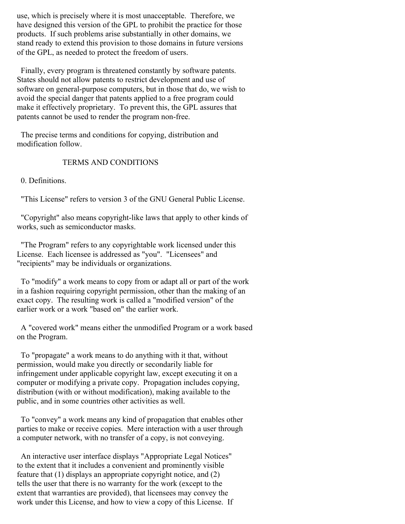use, which is precisely where it is most unacceptable. Therefore, we have designed this version of the GPL to prohibit the practice for those products. If such problems arise substantially in other domains, we stand ready to extend this provision to those domains in future versions of the GPL, as needed to protect the freedom of users.

Finally, every program is threatened constantly by software patents. States should not allow patents to restrict development and use of software on general-purpose computers, but in those that do, we wish to avoid the special danger that patents applied to a free program could make it effectively proprietary. To prevent this, the GPL assures that patents cannot be used to render the program non-free.

The precise terms and conditions for copying, distribution and modification follow.

## TERMS AND CONDITIONS

0. Definitions.

"This License" refers to version 3 of the GNU General Public License.

"Copyright" also means copyright-like laws that apply to other kinds of works, such as semiconductor masks.

"The Program" refers to any copyrightable work licensed under this License. Each licensee is addressed as "you". "Licensees" and "recipients" may be individuals or organizations.

To "modify" a work means to copy from or adapt all or part of the work in a fashion requiring copyright permission, other than the making of an exact copy. The resulting work is called a "modified version" of the earlier work or a work "based on" the earlier work.

A "covered work" means either the unmodified Program or a work based on the Program.

To "propagate" a work means to do anything with it that, without permission, would make you directly or secondarily liable for infringement under applicable copyright law, except executing it on a computer or modifying a private copy. Propagation includes copying, distribution (with or without modification), making available to the public, and in some countries other activities as well.

To "convey" a work means any kind of propagation that enables other parties to make or receive copies. Mere interaction with a user through a computer network, with no transfer of a copy, is not conveying.

An interactive user interface displays "Appropriate Legal Notices" to the extent that it includes a convenient and prominently visible feature that (1) displays an appropriate copyright notice, and (2) tells the user that there is no warranty for the work (except to the extent that warranties are provided), that licensees may convey the work under this License, and how to view a copy of this License. If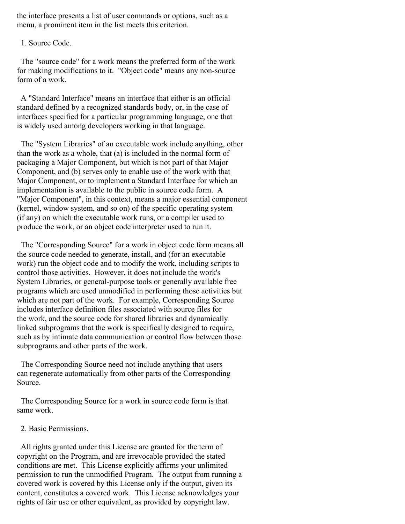the interface presents a list of user commands or options, such as a menu, a prominent item in the list meets this criterion.

1. Source Code.

The "source code" for a work means the preferred form of the work for making modifications to it. "Object code" means any non-source form of a work.

A "Standard Interface" means an interface that either is an official standard defined by a recognized standards body, or, in the case of interfaces specified for a particular programming language, one that is widely used among developers working in that language.

The "System Libraries" of an executable work include anything, other than the work as a whole, that (a) is included in the normal form of packaging a Major Component, but which is not part of that Major Component, and (b) serves only to enable use of the work with that Major Component, or to implement a Standard Interface for which an implementation is available to the public in source code form. A "Major Component", in this context, means a major essential component (kernel, window system, and so on) of the specific operating system (if any) on which the executable work runs, or a compiler used to produce the work, or an object code interpreter used to run it.

The "Corresponding Source" for a work in object code form means all the source code needed to generate, install, and (for an executable work) run the object code and to modify the work, including scripts to control those activities. However, it does not include the work's System Libraries, or general-purpose tools or generally available free programs which are used unmodified in performing those activities but which are not part of the work. For example, Corresponding Source includes interface definition files associated with source files for the work, and the source code for shared libraries and dynamically linked subprograms that the work is specifically designed to require, such as by intimate data communication or control flow between those subprograms and other parts of the work.

The Corresponding Source need not include anything that users can regenerate automatically from other parts of the Corresponding Source.

The Corresponding Source for a work in source code form is that same work.

2. Basic Permissions.

All rights granted under this License are granted for the term of copyright on the Program, and are irrevocable provided the stated conditions are met. This License explicitly affirms your unlimited permission to run the unmodified Program. The output from running a covered work is covered by this License only if the output, given its content, constitutes a covered work. This License acknowledges your rights of fair use or other equivalent, as provided by copyright law.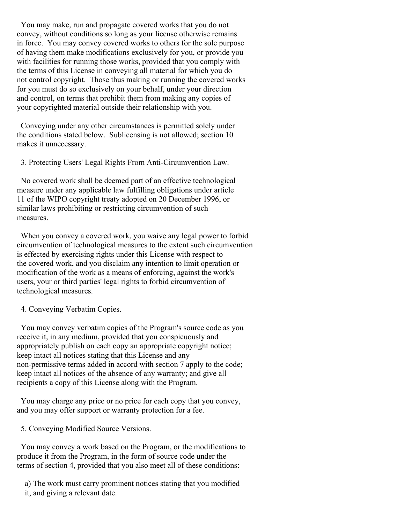You may make, run and propagate covered works that you do not convey, without conditions so long as your license otherwise remains in force. You may convey covered works to others for the sole purpose of having them make modifications exclusively for you, or provide you with facilities for running those works, provided that you comply with the terms of this License in conveying all material for which you do not control copyright. Those thus making or running the covered works for you must do so exclusively on your behalf, under your direction and control, on terms that prohibit them from making any copies of your copyrighted material outside their relationship with you.

Conveying under any other circumstances is permitted solely under the conditions stated below. Sublicensing is not allowed; section 10 makes it unnecessary.

3. Protecting Users' Legal Rights From Anti-Circumvention Law.

No covered work shall be deemed part of an effective technological measure under any applicable law fulfilling obligations under article 11 of the WIPO copyright treaty adopted on 20 December 1996, or similar laws prohibiting or restricting circumvention of such measures.

When you convey a covered work, you waive any legal power to forbid circumvention of technological measures to the extent such circumvention is effected by exercising rights under this License with respect to the covered work, and you disclaim any intention to limit operation or modification of the work as a means of enforcing, against the work's users, your or third parties' legal rights to forbid circumvention of technological measures.

#### 4. Conveying Verbatim Copies.

You may convey verbatim copies of the Program's source code as you receive it, in any medium, provided that you conspicuously and appropriately publish on each copy an appropriate copyright notice; keep intact all notices stating that this License and any non-permissive terms added in accord with section 7 apply to the code; keep intact all notices of the absence of any warranty; and give all recipients a copy of this License along with the Program.

You may charge any price or no price for each copy that you convey, and you may offer support or warranty protection for a fee.

5. Conveying Modified Source Versions.

You may convey a work based on the Program, or the modifications to produce it from the Program, in the form of source code under the terms of section 4, provided that you also meet all of these conditions:

a) The work must carry prominent notices stating that you modified it, and giving a relevant date.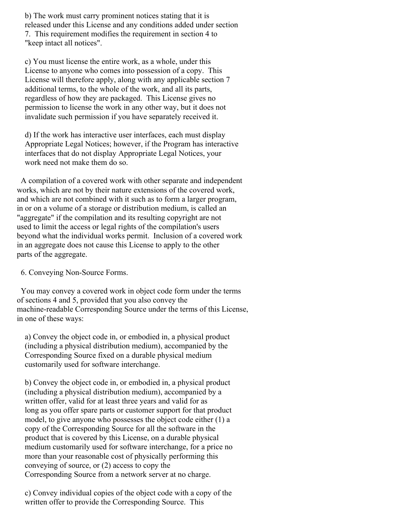b) The work must carry prominent notices stating that it is released under this License and any conditions added under section 7. This requirement modifies the requirement in section 4 to "keep intact all notices".

c) You must license the entire work, as a whole, under this License to anyone who comes into possession of a copy. This License will therefore apply, along with any applicable section 7 additional terms, to the whole of the work, and all its parts, regardless of how they are packaged. This License gives no permission to license the work in any other way, but it does not invalidate such permission if you have separately received it.

d) If the work has interactive user interfaces, each must display Appropriate Legal Notices; however, if the Program has interactive interfaces that do not display Appropriate Legal Notices, your work need not make them do so.

A compilation of a covered work with other separate and independent works, which are not by their nature extensions of the covered work, and which are not combined with it such as to form a larger program, in or on a volume of a storage or distribution medium, is called an "aggregate" if the compilation and its resulting copyright are not used to limit the access or legal rights of the compilation's users beyond what the individual works permit. Inclusion of a covered work in an aggregate does not cause this License to apply to the other parts of the aggregate.

6. Conveying Non-Source Forms.

You may convey a covered work in object code form under the terms of sections 4 and 5, provided that you also convey the machine-readable Corresponding Source under the terms of this License, in one of these ways:

a) Convey the object code in, or embodied in, a physical product (including a physical distribution medium), accompanied by the Corresponding Source fixed on a durable physical medium customarily used for software interchange.

b) Convey the object code in, or embodied in, a physical product (including a physical distribution medium), accompanied by a written offer, valid for at least three years and valid for as long as you offer spare parts or customer support for that product model, to give anyone who possesses the object code either (1) a copy of the Corresponding Source for all the software in the product that is covered by this License, on a durable physical medium customarily used for software interchange, for a price no more than your reasonable cost of physically performing this conveying of source, or (2) access to copy the Corresponding Source from a network server at no charge.

c) Convey individual copies of the object code with a copy of the written offer to provide the Corresponding Source. This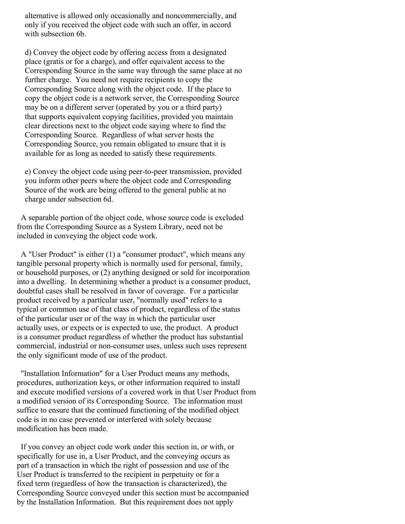alternative is allowed only occasionally and noncommercially, and only if you received the object code with such an offer, in accord with subsection 6b.

d) Convey the object code by offering access from a designated place (gratis or for a charge), and offer equivalent access to the Corresponding Source in the same way through the same place at no further charge. You need not require recipients to copy the Corresponding Source along with the object code. If the place to copy the object code is a network server, the Corresponding Source may be on a different server (operated by you or a third party) that supports equivalent copying facilities, provided you maintain clear directions next to the object code saying where to find the Corresponding Source. Regardless of what server hosts the Corresponding Source, you remain obligated to ensure that it is available for as long as needed to satisfy these requirements.

e) Convey the object code using peer-to-peer transmission, provided you inform other peers where the object code and Corresponding Source of the work are being offered to the general public at no charge under subsection 6d.

A separable portion of the object code, whose source code is excluded from the Corresponding Source as a System Library, need not be included in conveying the object code work.

A "User Product" is either (1) a "consumer product", which means any tangible personal property which is normally used for personal, family, or household purposes, or (2) anything designed or sold for incorporation into a dwelling. In determining whether a product is a consumer product, doubtful cases shall be resolved in favor of coverage. For a particular product received by a particular user, "normally used" refers to a typical or common use of that class of product, regardless of the status of the particular user or of the way in which the particular user actually uses, or expects or is expected to use, the product. A product is a consumer product regardless of whether the product has substantial commercial, industrial or non-consumer uses, unless such uses represent the only significant mode of use of the product.

"Installation Information" for a User Product means any methods, procedures, authorization keys, or other information required to install and execute modified versions of a covered work in that User Product from a modified version of its Corresponding Source. The information must suffice to ensure that the continued functioning of the modified object code is in no case prevented or interfered with solely because modification has been made.

If you convey an object code work under this section in, or with, or specifically for use in, a User Product, and the conveying occurs as part of a transaction in which the right of possession and use of the User Product is transferred to the recipient in perpetuity or for a fixed term (regardless of how the transaction is characterized), the Corresponding Source conveyed under this section must be accompanied by the Installation Information. But this requirement does not apply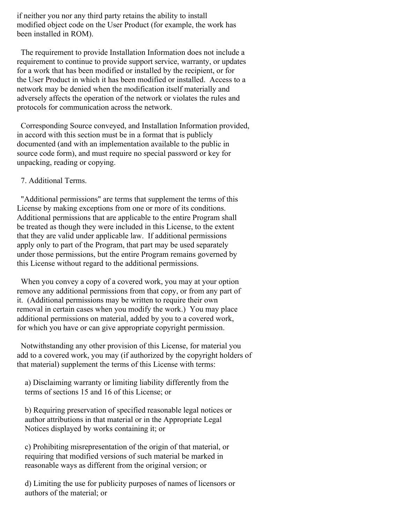if neither you nor any third party retains the ability to install modified object code on the User Product (for example, the work has been installed in ROM).

The requirement to provide Installation Information does not include a requirement to continue to provide support service, warranty, or updates for a work that has been modified or installed by the recipient, or for the User Product in which it has been modified or installed. Access to a network may be denied when the modification itself materially and adversely affects the operation of the network or violates the rules and protocols for communication across the network.

Corresponding Source conveyed, and Installation Information provided, in accord with this section must be in a format that is publicly documented (and with an implementation available to the public in source code form), and must require no special password or key for unpacking, reading or copying.

### 7. Additional Terms.

"Additional permissions" are terms that supplement the terms of this License by making exceptions from one or more of its conditions. Additional permissions that are applicable to the entire Program shall be treated as though they were included in this License, to the extent that they are valid under applicable law. If additional permissions apply only to part of the Program, that part may be used separately under those permissions, but the entire Program remains governed by this License without regard to the additional permissions.

When you convey a copy of a covered work, you may at your option remove any additional permissions from that copy, or from any part of it. (Additional permissions may be written to require their own removal in certain cases when you modify the work.) You may place additional permissions on material, added by you to a covered work, for which you have or can give appropriate copyright permission.

Notwithstanding any other provision of this License, for material you add to a covered work, you may (if authorized by the copyright holders of that material) supplement the terms of this License with terms:

a) Disclaiming warranty or limiting liability differently from the terms of sections 15 and 16 of this License; or

b) Requiring preservation of specified reasonable legal notices or author attributions in that material or in the Appropriate Legal Notices displayed by works containing it; or

c) Prohibiting misrepresentation of the origin of that material, or requiring that modified versions of such material be marked in reasonable ways as different from the original version; or

d) Limiting the use for publicity purposes of names of licensors or authors of the material; or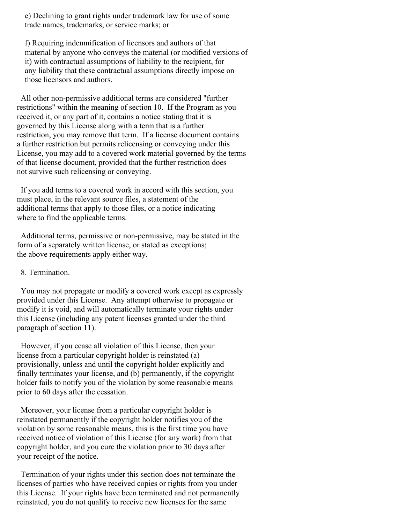e) Declining to grant rights under trademark law for use of some trade names, trademarks, or service marks; or

f) Requiring indemnification of licensors and authors of that material by anyone who conveys the material (or modified versions of it) with contractual assumptions of liability to the recipient, for any liability that these contractual assumptions directly impose on those licensors and authors.

All other non-permissive additional terms are considered "further restrictions" within the meaning of section 10. If the Program as you received it, or any part of it, contains a notice stating that it is governed by this License along with a term that is a further restriction, you may remove that term. If a license document contains a further restriction but permits relicensing or conveying under this License, you may add to a covered work material governed by the terms of that license document, provided that the further restriction does not survive such relicensing or conveying.

If you add terms to a covered work in accord with this section, you must place, in the relevant source files, a statement of the additional terms that apply to those files, or a notice indicating where to find the applicable terms.

Additional terms, permissive or non-permissive, may be stated in the form of a separately written license, or stated as exceptions; the above requirements apply either way.

8. Termination.

You may not propagate or modify a covered work except as expressly provided under this License. Any attempt otherwise to propagate or modify it is void, and will automatically terminate your rights under this License (including any patent licenses granted under the third paragraph of section 11).

However, if you cease all violation of this License, then your license from a particular copyright holder is reinstated (a) provisionally, unless and until the copyright holder explicitly and finally terminates your license, and (b) permanently, if the copyright holder fails to notify you of the violation by some reasonable means prior to 60 days after the cessation.

Moreover, your license from a particular copyright holder is reinstated permanently if the copyright holder notifies you of the violation by some reasonable means, this is the first time you have received notice of violation of this License (for any work) from that copyright holder, and you cure the violation prior to 30 days after your receipt of the notice.

Termination of your rights under this section does not terminate the licenses of parties who have received copies or rights from you under this License. If your rights have been terminated and not permanently reinstated, you do not qualify to receive new licenses for the same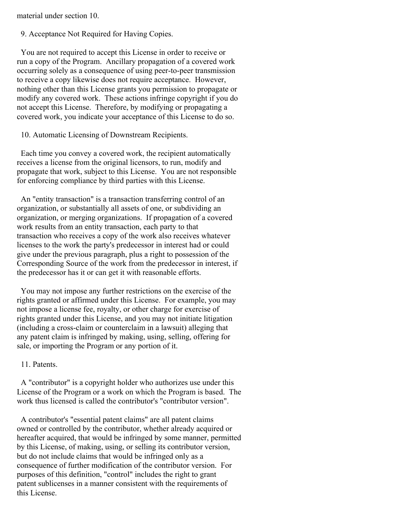material under section 10.

9. Acceptance Not Required for Having Copies.

You are not required to accept this License in order to receive or run a copy of the Program. Ancillary propagation of a covered work occurring solely as a consequence of using peer-to-peer transmission to receive a copy likewise does not require acceptance. However, nothing other than this License grants you permission to propagate or modify any covered work. These actions infringe copyright if you do not accept this License. Therefore, by modifying or propagating a covered work, you indicate your acceptance of this License to do so.

10. Automatic Licensing of Downstream Recipients.

Each time you convey a covered work, the recipient automatically receives a license from the original licensors, to run, modify and propagate that work, subject to this License. You are not responsible for enforcing compliance by third parties with this License.

An "entity transaction" is a transaction transferring control of an organization, or substantially all assets of one, or subdividing an organization, or merging organizations. If propagation of a covered work results from an entity transaction, each party to that transaction who receives a copy of the work also receives whatever licenses to the work the party's predecessor in interest had or could give under the previous paragraph, plus a right to possession of the Corresponding Source of the work from the predecessor in interest, if the predecessor has it or can get it with reasonable efforts.

You may not impose any further restrictions on the exercise of the rights granted or affirmed under this License. For example, you may not impose a license fee, royalty, or other charge for exercise of rights granted under this License, and you may not initiate litigation (including a cross-claim or counterclaim in a lawsuit) alleging that any patent claim is infringed by making, using, selling, offering for sale, or importing the Program or any portion of it.

11. Patents.

A "contributor" is a copyright holder who authorizes use under this License of the Program or a work on which the Program is based. The work thus licensed is called the contributor's "contributor version".

A contributor's "essential patent claims" are all patent claims owned or controlled by the contributor, whether already acquired or hereafter acquired, that would be infringed by some manner, permitted by this License, of making, using, or selling its contributor version, but do not include claims that would be infringed only as a consequence of further modification of the contributor version. For purposes of this definition, "control" includes the right to grant patent sublicenses in a manner consistent with the requirements of this License.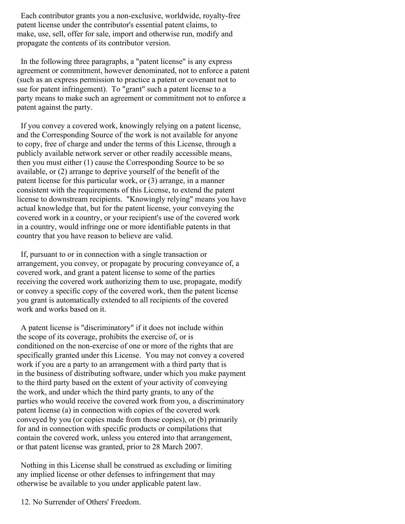Each contributor grants you a non-exclusive, worldwide, royalty-free patent license under the contributor's essential patent claims, to make, use, sell, offer for sale, import and otherwise run, modify and propagate the contents of its contributor version.

In the following three paragraphs, a "patent license" is any express agreement or commitment, however denominated, not to enforce a patent (such as an express permission to practice a patent or covenant not to sue for patent infringement). To "grant" such a patent license to a party means to make such an agreement or commitment not to enforce a patent against the party.

If you convey a covered work, knowingly relying on a patent license, and the Corresponding Source of the work is not available for anyone to copy, free of charge and under the terms of this License, through a publicly available network server or other readily accessible means, then you must either (1) cause the Corresponding Source to be so available, or (2) arrange to deprive yourself of the benefit of the patent license for this particular work, or (3) arrange, in a manner consistent with the requirements of this License, to extend the patent license to downstream recipients. "Knowingly relying" means you have actual knowledge that, but for the patent license, your conveying the covered work in a country, or your recipient's use of the covered work in a country, would infringe one or more identifiable patents in that country that you have reason to believe are valid.

If, pursuant to or in connection with a single transaction or arrangement, you convey, or propagate by procuring conveyance of, a covered work, and grant a patent license to some of the parties receiving the covered work authorizing them to use, propagate, modify or convey a specific copy of the covered work, then the patent license you grant is automatically extended to all recipients of the covered work and works based on it.

A patent license is "discriminatory" if it does not include within the scope of its coverage, prohibits the exercise of, or is conditioned on the non-exercise of one or more of the rights that are specifically granted under this License. You may not convey a covered work if you are a party to an arrangement with a third party that is in the business of distributing software, under which you make payment to the third party based on the extent of your activity of conveying the work, and under which the third party grants, to any of the parties who would receive the covered work from you, a discriminatory patent license (a) in connection with copies of the covered work conveyed by you (or copies made from those copies), or (b) primarily for and in connection with specific products or compilations that contain the covered work, unless you entered into that arrangement, or that patent license was granted, prior to 28 March 2007.

Nothing in this License shall be construed as excluding or limiting any implied license or other defenses to infringement that may otherwise be available to you under applicable patent law.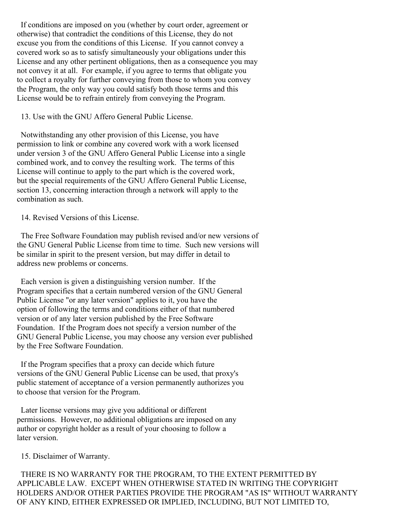If conditions are imposed on you (whether by court order, agreement or otherwise) that contradict the conditions of this License, they do not excuse you from the conditions of this License. If you cannot convey a covered work so as to satisfy simultaneously your obligations under this License and any other pertinent obligations, then as a consequence you may not convey it at all. For example, if you agree to terms that obligate you to collect a royalty for further conveying from those to whom you convey the Program, the only way you could satisfy both those terms and this License would be to refrain entirely from conveying the Program.

13. Use with the GNU Affero General Public License.

Notwithstanding any other provision of this License, you have permission to link or combine any covered work with a work licensed under version 3 of the GNU Affero General Public License into a single combined work, and to convey the resulting work. The terms of this License will continue to apply to the part which is the covered work, but the special requirements of the GNU Affero General Public License, section 13, concerning interaction through a network will apply to the combination as such.

14. Revised Versions of this License.

The Free Software Foundation may publish revised and/or new versions of the GNU General Public License from time to time. Such new versions will be similar in spirit to the present version, but may differ in detail to address new problems or concerns.

Each version is given a distinguishing version number. If the Program specifies that a certain numbered version of the GNU General Public License "or any later version" applies to it, you have the option of following the terms and conditions either of that numbered version or of any later version published by the Free Software Foundation. If the Program does not specify a version number of the GNU General Public License, you may choose any version ever published by the Free Software Foundation.

If the Program specifies that a proxy can decide which future versions of the GNU General Public License can be used, that proxy's public statement of acceptance of a version permanently authorizes you to choose that version for the Program.

Later license versions may give you additional or different permissions. However, no additional obligations are imposed on any author or copyright holder as a result of your choosing to follow a later version.

15. Disclaimer of Warranty.

THERE IS NO WARRANTY FOR THE PROGRAM, TO THE EXTENT PERMITTED BY APPLICABLE LAW. EXCEPT WHEN OTHERWISE STATED IN WRITING THE COPYRIGHT HOLDERS AND/OR OTHER PARTIES PROVIDE THE PROGRAM "AS IS" WITHOUT WARRANTY OF ANY KIND, EITHER EXPRESSED OR IMPLIED, INCLUDING, BUT NOT LIMITED TO,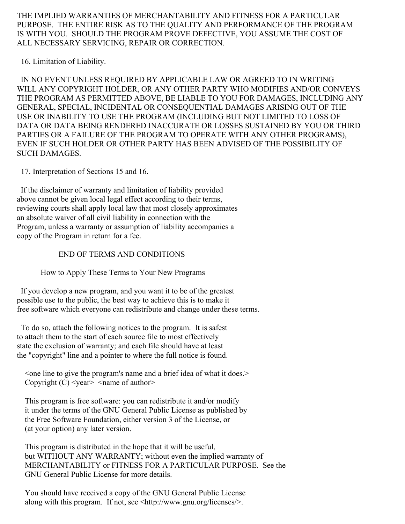THE IMPLIED WARRANTIES OF MERCHANTABILITY AND FITNESS FOR A PARTICULAR PURPOSE. THE ENTIRE RISK AS TO THE QUALITY AND PERFORMANCE OF THE PROGRAM IS WITH YOU. SHOULD THE PROGRAM PROVE DEFECTIVE, YOU ASSUME THE COST OF ALL NECESSARY SERVICING, REPAIR OR CORRECTION.

16. Limitation of Liability.

IN NO EVENT UNLESS REQUIRED BY APPLICABLE LAW OR AGREED TO IN WRITING WILL ANY COPYRIGHT HOLDER, OR ANY OTHER PARTY WHO MODIFIES AND/OR CONVEYS THE PROGRAM AS PERMITTED ABOVE, BE LIABLE TO YOU FOR DAMAGES, INCLUDING ANY GENERAL, SPECIAL, INCIDENTAL OR CONSEQUENTIAL DAMAGES ARISING OUT OF THE USE OR INABILITY TO USE THE PROGRAM (INCLUDING BUT NOT LIMITED TO LOSS OF DATA OR DATA BEING RENDERED INACCURATE OR LOSSES SUSTAINED BY YOU OR THIRD PARTIES OR A FAILURE OF THE PROGRAM TO OPERATE WITH ANY OTHER PROGRAMS), EVEN IF SUCH HOLDER OR OTHER PARTY HAS BEEN ADVISED OF THE POSSIBILITY OF SUCH DAMAGES.

17. Interpretation of Sections 15 and 16.

If the disclaimer of warranty and limitation of liability provided above cannot be given local legal effect according to their terms, reviewing courts shall apply local law that most closely approximates an absolute waiver of all civil liability in connection with the Program, unless a warranty or assumption of liability accompanies a copy of the Program in return for a fee.

# END OF TERMS AND CONDITIONS

How to Apply These Terms to Your New Programs

If you develop a new program, and you want it to be of the greatest possible use to the public, the best way to achieve this is to make it free software which everyone can redistribute and change under these terms.

To do so, attach the following notices to the program. It is safest to attach them to the start of each source file to most effectively state the exclusion of warranty; and each file should have at least the "copyright" line and a pointer to where the full notice is found.

<one line to give the program's name and a brief idea of what it does.> Copyright  $(C)$  < year > < name of author >

This program is free software: you can redistribute it and/or modify it under the terms of the GNU General Public License as published by the Free Software Foundation, either version 3 of the License, or (at your option) any later version.

This program is distributed in the hope that it will be useful, but WITHOUT ANY WARRANTY; without even the implied warranty of MERCHANTABILITY or FITNESS FOR A PARTICULAR PURPOSE. See the GNU General Public License for more details.

You should have received a copy of the GNU General Public License along with this program. If not, see <http://www.gnu.org/licenses/>.